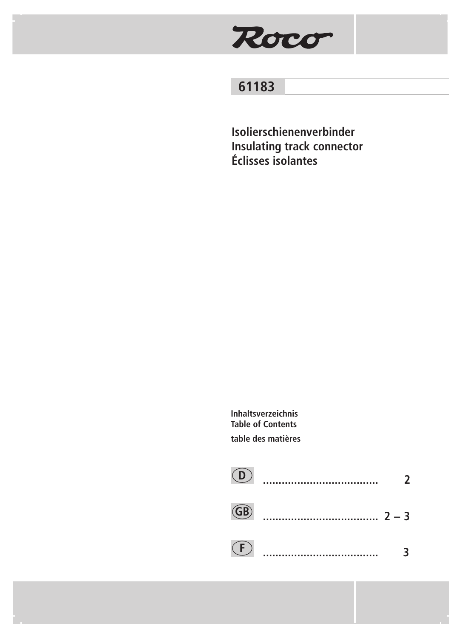# Roco

## 61183

Isolierschienenverbinder **Insulating track connector** Éclisses isolantes

Inhaltsverzeichnis **Table of Contents** table des matières

| (D)            |  |
|----------------|--|
| $\binom{GB}{}$ |  |
| (F)            |  |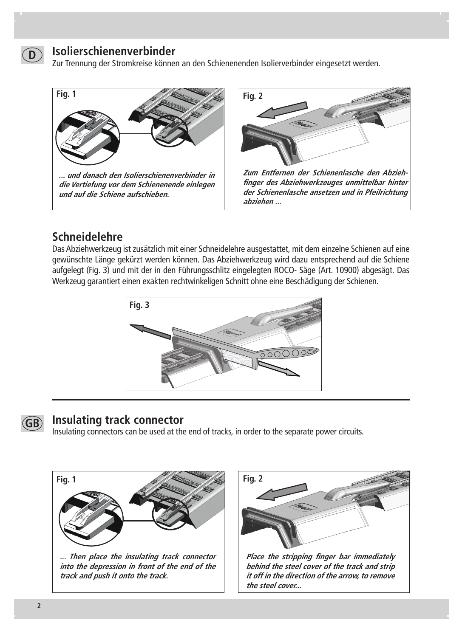

#### **Isolierschienenverbinder**

Zur Trennung der Stromkreise können an den Schienenenden Isolierverbinder eingesetzt werden.





**Zum Entfernen der Schienenlasche den Abziehfinger des Abziehwerkzeuges unmittelbar hinter der Schienenlasche ansetzen und in Pfeilrichtung abziehen ...** 

#### **Schneidelehre**

Das Abziehwerkzeug ist zusätzlich mit einer Schneidelehre ausgestattet, mit dem einzelne Schienen auf eine gewünschte Länge gekürzt werden können. Das Abziehwerkzeug wird dazu entsprechend auf die Schiene aufgelegt (Fig. 3) und mit der in den Führungsschlitz eingelegten ROCO- Säge (Art. 10900) abgesägt. Das Werkzeug garantiert einen exakten rechtwinkeligen Schnitt ohne eine Beschädigung der Schienen.





#### **Insulating track connector**

Insulating connectors can be used at the end of tracks, in order to the separate power circuits.



**... Then place the insulating track connector into the depression in front of the end of the track and push it onto the track.** 



**Place the stripping finger bar immediately behind the steel cover of the track and strip it off in the direction of the arrow,to remove the steel cover...**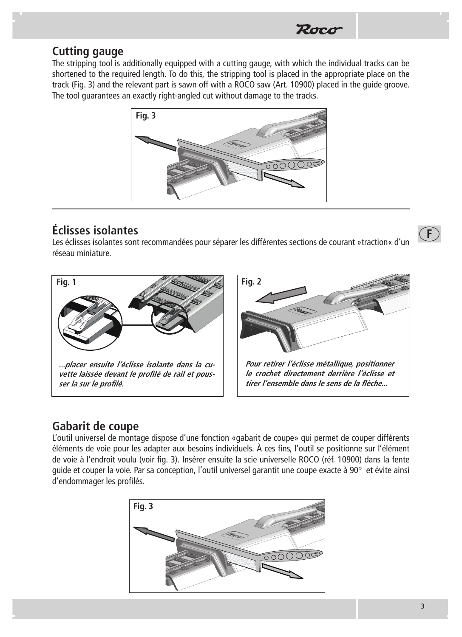**Cutting gauge**

The stripping tool is additionally equipped with a cutting gauge, with which the individual tracks can be shortened to the required length. To do this, the stripping tool is placed in the appropriate place on the track (Fig. 3) and the relevant part is sawn off with a ROCO saw (Art. 10900) placed in the guide groove. The tool guarantees an exactly right-angled cut without damage to the tracks.

 $\boldsymbol{R}$ or $\boldsymbol{\sigma}$ 



## **Éclisses isolantes**

Les éclisses isolantes sont recommandées pour séparer les différentes sections de courant »traction« d'un réseau miniature.





### **Gabarit de coupe**

L'outil universel de montage dispose d'une fonction «gabarit de coupe» qui permet de couper différents éléments de voie pour les adapter aux besoins individuels. À ces fins, l'outil se positionne sur l'élément de voie à l'endroit voulu (voir fig. 3). Insérer ensuite la scie universelle ROCO (réf. 10900) dans la fente guide et couper la voie. Par sa conception, l'outil universel garantit une coupe exacte à 90° et évite ainsi d'endommager les profilés.